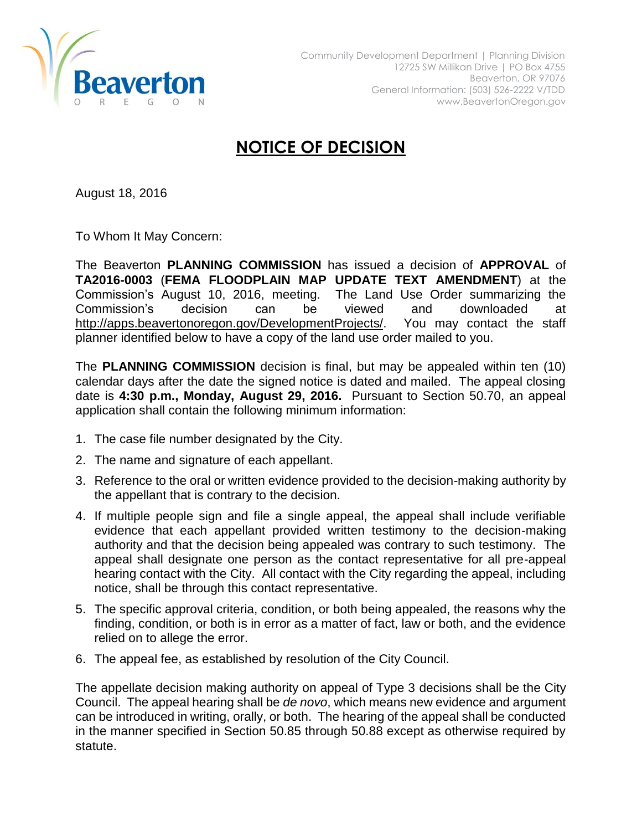

## **NOTICE OF DECISION**

August 18, 2016

To Whom It May Concern:

The Beaverton **PLANNING COMMISSION** has issued a decision of **APPROVAL** of **TA2016-0003** (**FEMA FLOODPLAIN MAP UPDATE TEXT AMENDMENT**) at the Commission's August 10, 2016, meeting. The Land Use Order summarizing the Commission's decision can be viewed and downloaded at [http://apps.beavertonoregon.gov/DevelopmentProjects/.](http://apps.beavertonoregon.gov/DevelopmentProjects/) You may contact the staff planner identified below to have a copy of the land use order mailed to you.

The **PLANNING COMMISSION** decision is final, but may be appealed within ten (10) calendar days after the date the signed notice is dated and mailed. The appeal closing date is **4:30 p.m., Monday, August 29, 2016.** Pursuant to Section 50.70, an appeal application shall contain the following minimum information:

- 1. The case file number designated by the City.
- 2. The name and signature of each appellant.
- 3. Reference to the oral or written evidence provided to the decision-making authority by the appellant that is contrary to the decision.
- 4. If multiple people sign and file a single appeal, the appeal shall include verifiable evidence that each appellant provided written testimony to the decision-making authority and that the decision being appealed was contrary to such testimony. The appeal shall designate one person as the contact representative for all pre-appeal hearing contact with the City. All contact with the City regarding the appeal, including notice, shall be through this contact representative.
- 5. The specific approval criteria, condition, or both being appealed, the reasons why the finding, condition, or both is in error as a matter of fact, law or both, and the evidence relied on to allege the error.
- 6. The appeal fee, as established by resolution of the City Council.

The appellate decision making authority on appeal of Type 3 decisions shall be the City Council. The appeal hearing shall be *de novo*, which means new evidence and argument can be introduced in writing, orally, or both. The hearing of the appeal shall be conducted in the manner specified in Section 50.85 through 50.88 except as otherwise required by statute.